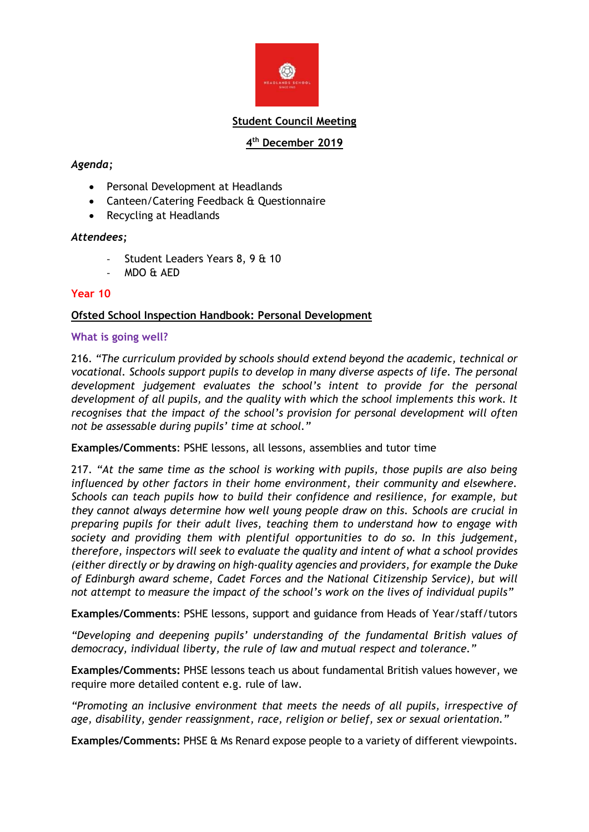

### **Student Council Meeting**

# **4 th December 2019**

# *Agenda;*

- Personal Development at Headlands
- Canteen/Catering Feedback & Questionnaire
- Recycling at Headlands

### *Attendees;*

- Student Leaders Years 8, 9 & 10
- MDO & AED

### **Year 10**

# **Ofsted School Inspection Handbook: Personal Development**

### **What is going well?**

216. *"The curriculum provided by schools should extend beyond the academic, technical or vocational. Schools support pupils to develop in many diverse aspects of life. The personal development judgement evaluates the school's intent to provide for the personal development of all pupils, and the quality with which the school implements this work. It recognises that the impact of the school's provision for personal development will often not be assessable during pupils' time at school."*

**Examples/Comments**: PSHE lessons, all lessons, assemblies and tutor time

217. *"At the same time as the school is working with pupils, those pupils are also being influenced by other factors in their home environment, their community and elsewhere. Schools can teach pupils how to build their confidence and resilience, for example, but they cannot always determine how well young people draw on this. Schools are crucial in preparing pupils for their adult lives, teaching them to understand how to engage with society and providing them with plentiful opportunities to do so. In this judgement, therefore, inspectors will seek to evaluate the quality and intent of what a school provides (either directly or by drawing on high-quality agencies and providers, for example the Duke of Edinburgh award scheme, Cadet Forces and the National Citizenship Service), but will not attempt to measure the impact of the school's work on the lives of individual pupils"*

**Examples/Comments**: PSHE lessons, support and guidance from Heads of Year/staff/tutors

*"Developing and deepening pupils' understanding of the fundamental British values of democracy, individual liberty, the rule of law and mutual respect and tolerance."*

**Examples/Comments:** PHSE lessons teach us about fundamental British values however, we require more detailed content e.g. rule of law.

*"Promoting an inclusive environment that meets the needs of all pupils, irrespective of age, disability, gender reassignment, race, religion or belief, sex or sexual orientation."*

**Examples/Comments:** PHSE & Ms Renard expose people to a variety of different viewpoints.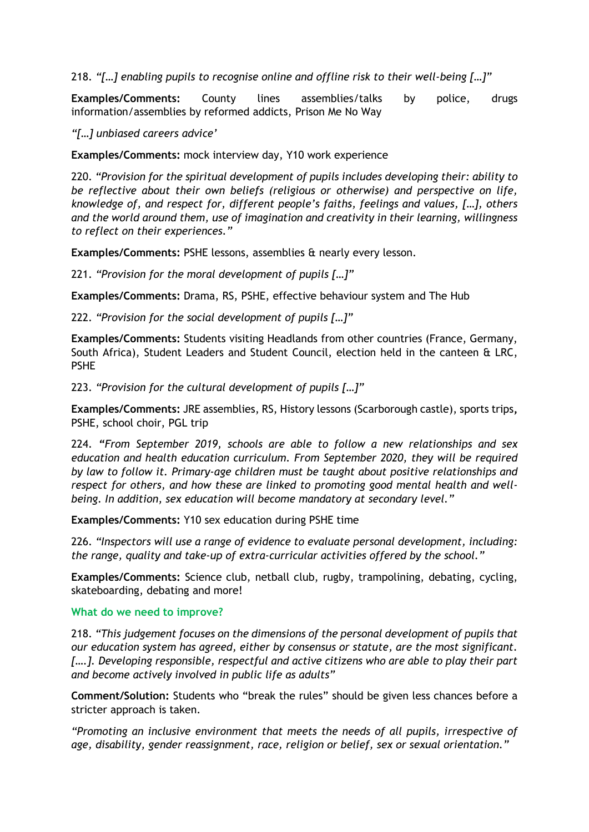218. *"[…] enabling pupils to recognise online and offline risk to their well-being […]"*

**Examples/Comments:** County lines assemblies/talks by police, drugs information/assemblies by reformed addicts, Prison Me No Way

*"[…] unbiased careers advice'*

**Examples/Comments:** mock interview day, Y10 work experience

220. *"Provision for the spiritual development of pupils includes developing their: ability to be reflective about their own beliefs (religious or otherwise) and perspective on life, knowledge of, and respect for, different people's faiths, feelings and values, […], others and the world around them, use of imagination and creativity in their learning, willingness to reflect on their experiences."*

**Examples/Comments:** PSHE lessons, assemblies & nearly every lesson.

221. *"Provision for the moral development of pupils […]"*

**Examples/Comments:** Drama, RS, PSHE, effective behaviour system and The Hub

222. *"Provision for the social development of pupils […]"*

**Examples/Comments:** Students visiting Headlands from other countries (France, Germany, South Africa), Student Leaders and Student Council, election held in the canteen & LRC, PSHE

223. *"Provision for the cultural development of pupils […]"*

**Examples/Comments:** JRE assemblies, RS, History lessons (Scarborough castle), sports trips**,**  PSHE, school choir, PGL trip

224. *"From September 2019, schools are able to follow a new relationships and sex education and health education curriculum. From September 2020, they will be required by law to follow it. Primary-age children must be taught about positive relationships and respect for others, and how these are linked to promoting good mental health and wellbeing. In addition, sex education will become mandatory at secondary level."*

**Examples/Comments:** Y10 sex education during PSHE time

226. *"Inspectors will use a range of evidence to evaluate personal development, including: the range, quality and take-up of extra-curricular activities offered by the school."*

**Examples/Comments:** Science club, netball club, rugby, trampolining, debating, cycling, skateboarding, debating and more!

#### **What do we need to improve?**

218. *"This judgement focuses on the dimensions of the personal development of pupils that our education system has agreed, either by consensus or statute, are the most significant. [….]. Developing responsible, respectful and active citizens who are able to play their part and become actively involved in public life as adults"*

**Comment/Solution:** Students who "break the rules" should be given less chances before a stricter approach is taken.

*"Promoting an inclusive environment that meets the needs of all pupils, irrespective of age, disability, gender reassignment, race, religion or belief, sex or sexual orientation."*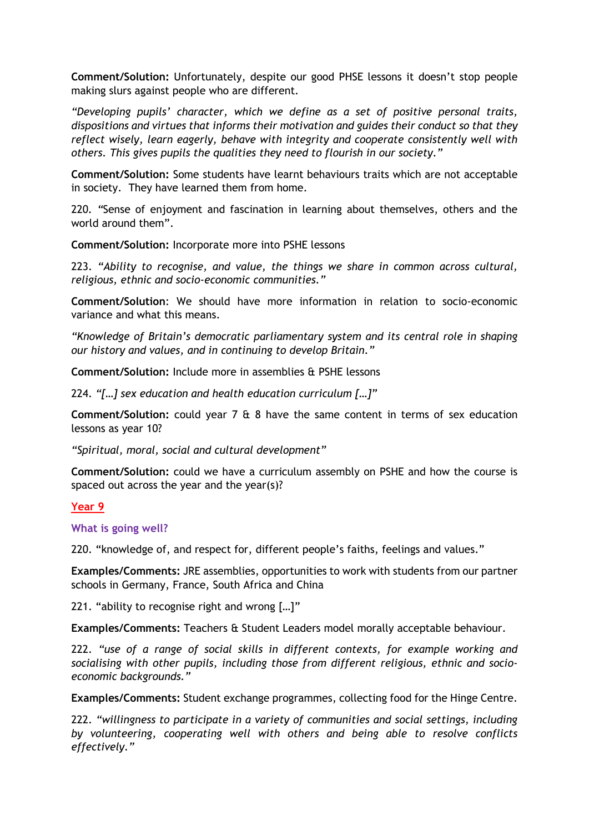**Comment/Solution:** Unfortunately, despite our good PHSE lessons it doesn't stop people making slurs against people who are different.

*"Developing pupils' character, which we define as a set of positive personal traits, dispositions and virtues that informs their motivation and guides their conduct so that they reflect wisely, learn eagerly, behave with integrity and cooperate consistently well with others. This gives pupils the qualities they need to flourish in our society."*

**Comment/Solution:** Some students have learnt behaviours traits which are not acceptable in society. They have learned them from home.

220*. "*Sense of enjoyment and fascination in learning about themselves, others and the world around them".

**Comment/Solution:** Incorporate more into PSHE lessons

223. *"Ability to recognise, and value, the things we share in common across cultural, religious, ethnic and socio-economic communities."*

**Comment/Solution**: We should have more information in relation to socio-economic variance and what this means.

*"Knowledge of Britain's democratic parliamentary system and its central role in shaping our history and values, and in continuing to develop Britain."*

**Comment/Solution:** Include more in assemblies & PSHE lessons

224. *"[…] sex education and health education curriculum […]"*

**Comment/Solution:** could year 7 & 8 have the same content in terms of sex education lessons as year 10?

*"Spiritual, moral, social and cultural development"*

**Comment/Solution:** could we have a curriculum assembly on PSHE and how the course is spaced out across the year and the year(s)?

### **Year 9**

**What is going well?**

220. "knowledge of, and respect for, different people's faiths, feelings and values."

**Examples/Comments:** JRE assemblies, opportunities to work with students from our partner schools in Germany, France, South Africa and China

221. "ability to recognise right and wrong […]"

**Examples/Comments:** Teachers & Student Leaders model morally acceptable behaviour.

222. *"use of a range of social skills in different contexts, for example working and socialising with other pupils, including those from different religious, ethnic and socioeconomic backgrounds."*

**Examples/Comments:** Student exchange programmes, collecting food for the Hinge Centre.

222. *"willingness to participate in a variety of communities and social settings, including by volunteering, cooperating well with others and being able to resolve conflicts effectively."*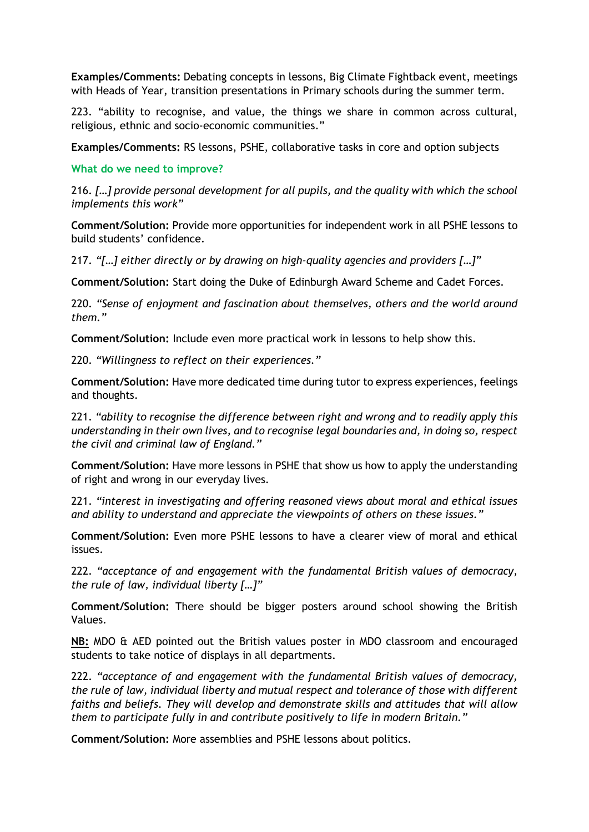**Examples/Comments:** Debating concepts in lessons, Big Climate Fightback event, meetings with Heads of Year, transition presentations in Primary schools during the summer term.

223. "ability to recognise, and value, the things we share in common across cultural, religious, ethnic and socio-economic communities."

**Examples/Comments:** RS lessons, PSHE, collaborative tasks in core and option subjects

**What do we need to improve?**

216. *[…] provide personal development for all pupils, and the quality with which the school implements this work"*

**Comment/Solution:** Provide more opportunities for independent work in all PSHE lessons to build students' confidence.

217. *"[…] either directly or by drawing on high-quality agencies and providers […]"*

**Comment/Solution:** Start doing the Duke of Edinburgh Award Scheme and Cadet Forces.

220. *"Sense of enjoyment and fascination about themselves, others and the world around them."*

**Comment/Solution:** Include even more practical work in lessons to help show this.

220. *"Willingness to reflect on their experiences."*

**Comment/Solution:** Have more dedicated time during tutor to express experiences, feelings and thoughts.

221. *"ability to recognise the difference between right and wrong and to readily apply this understanding in their own lives, and to recognise legal boundaries and, in doing so, respect the civil and criminal law of England."*

**Comment/Solution:** Have more lessons in PSHE that show us how to apply the understanding of right and wrong in our everyday lives.

221. *"interest in investigating and offering reasoned views about moral and ethical issues and ability to understand and appreciate the viewpoints of others on these issues."*

**Comment/Solution:** Even more PSHE lessons to have a clearer view of moral and ethical issues.

222. *"acceptance of and engagement with the fundamental British values of democracy, the rule of law, individual liberty […]"*

**Comment/Solution:** There should be bigger posters around school showing the British Values.

**NB:** MDO & AED pointed out the British values poster in MDO classroom and encouraged students to take notice of displays in all departments.

222. *"acceptance of and engagement with the fundamental British values of democracy, the rule of law, individual liberty and mutual respect and tolerance of those with different faiths and beliefs. They will develop and demonstrate skills and attitudes that will allow them to participate fully in and contribute positively to life in modern Britain."*

**Comment/Solution:** More assemblies and PSHE lessons about politics.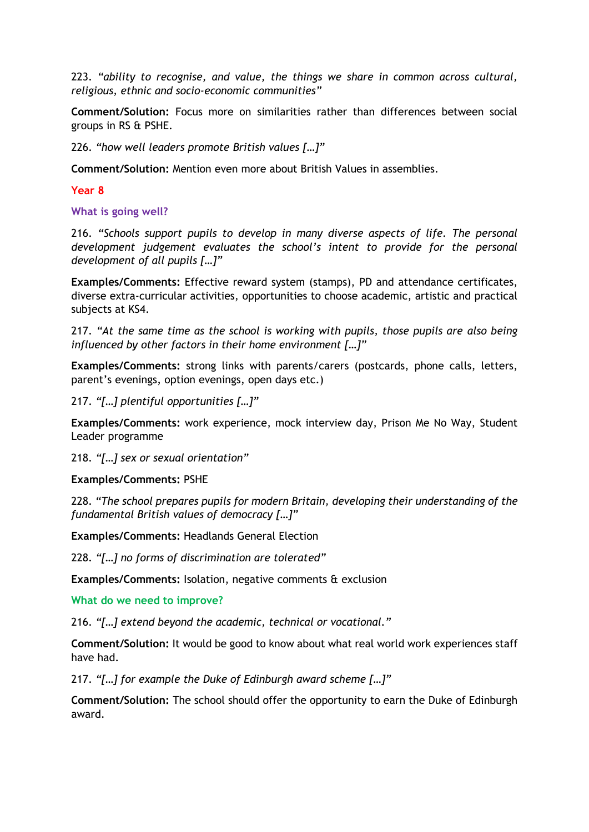223. *"ability to recognise, and value, the things we share in common across cultural, religious, ethnic and socio-economic communities"*

**Comment/Solution:** Focus more on similarities rather than differences between social groups in RS & PSHE.

226. *"how well leaders promote British values […]"*

**Comment/Solution:** Mention even more about British Values in assemblies.

**Year 8** 

**What is going well?**

216. *"Schools support pupils to develop in many diverse aspects of life. The personal development judgement evaluates the school's intent to provide for the personal development of all pupils […]"*

**Examples/Comments:** Effective reward system (stamps), PD and attendance certificates, diverse extra-curricular activities, opportunities to choose academic, artistic and practical subjects at KS4.

217. *"At the same time as the school is working with pupils, those pupils are also being influenced by other factors in their home environment […]"*

**Examples/Comments:** strong links with parents/carers (postcards, phone calls, letters, parent's evenings, option evenings, open days etc.)

217. *"[…] plentiful opportunities […]"*

**Examples/Comments:** work experience, mock interview day, Prison Me No Way, Student Leader programme

218. *"[…] sex or sexual orientation"*

#### **Examples/Comments:** PSHE

228. *"The school prepares pupils for modern Britain, developing their understanding of the fundamental British values of democracy […]"*

**Examples/Comments:** Headlands General Election

228. *"[…] no forms of discrimination are tolerated"*

**Examples/Comments:** Isolation, negative comments & exclusion

**What do we need to improve?**

216. *"[…] extend beyond the academic, technical or vocational."*

**Comment/Solution:** It would be good to know about what real world work experiences staff have had.

217. *"[…] for example the Duke of Edinburgh award scheme […]"*

**Comment/Solution:** The school should offer the opportunity to earn the Duke of Edinburgh award.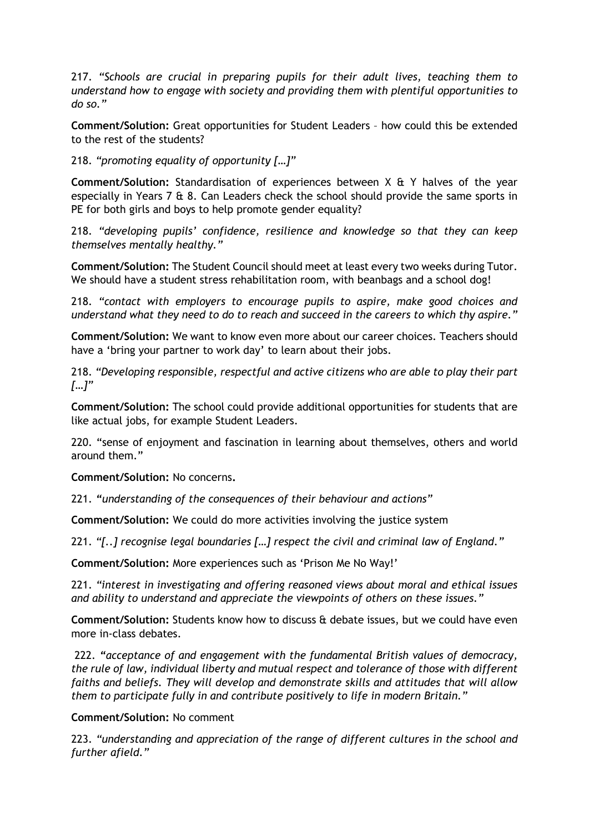217. *"Schools are crucial in preparing pupils for their adult lives, teaching them to understand how to engage with society and providing them with plentiful opportunities to do so."*

**Comment/Solution:** Great opportunities for Student Leaders – how could this be extended to the rest of the students?

218. *"promoting equality of opportunity […]"*

**Comment/Solution:** Standardisation of experiences between X & Y halves of the year especially in Years 7  $\&$  8. Can Leaders check the school should provide the same sports in PE for both girls and boys to help promote gender equality?

218. *"developing pupils' confidence, resilience and knowledge so that they can keep themselves mentally healthy."*

**Comment/Solution:** The Student Council should meet at least every two weeks during Tutor. We should have a student stress rehabilitation room, with beanbags and a school dog!

218. *"contact with employers to encourage pupils to aspire, make good choices and understand what they need to do to reach and succeed in the careers to which thy aspire."*

**Comment/Solution:** We want to know even more about our career choices. Teachers should have a 'bring your partner to work day' to learn about their jobs.

218. *"Developing responsible, respectful and active citizens who are able to play their part […]"*

**Comment/Solution:** The school could provide additional opportunities for students that are like actual jobs, for example Student Leaders.

220. "sense of enjoyment and fascination in learning about themselves, others and world around them."

**Comment/Solution:** No concerns**.**

221. *"understanding of the consequences of their behaviour and actions"*

**Comment/Solution:** We could do more activities involving the justice system

221. *"[..] recognise legal boundaries […] respect the civil and criminal law of England."*

**Comment/Solution:** More experiences such as 'Prison Me No Way!'

221. *"interest in investigating and offering reasoned views about moral and ethical issues and ability to understand and appreciate the viewpoints of others on these issues."*

**Comment/Solution:** Students know how to discuss & debate issues, but we could have even more in-class debates.

222. *"acceptance of and engagement with the fundamental British values of democracy, the rule of law, individual liberty and mutual respect and tolerance of those with different faiths and beliefs. They will develop and demonstrate skills and attitudes that will allow them to participate fully in and contribute positively to life in modern Britain."*

### **Comment/Solution:** No comment

223. *"understanding and appreciation of the range of different cultures in the school and further afield."*